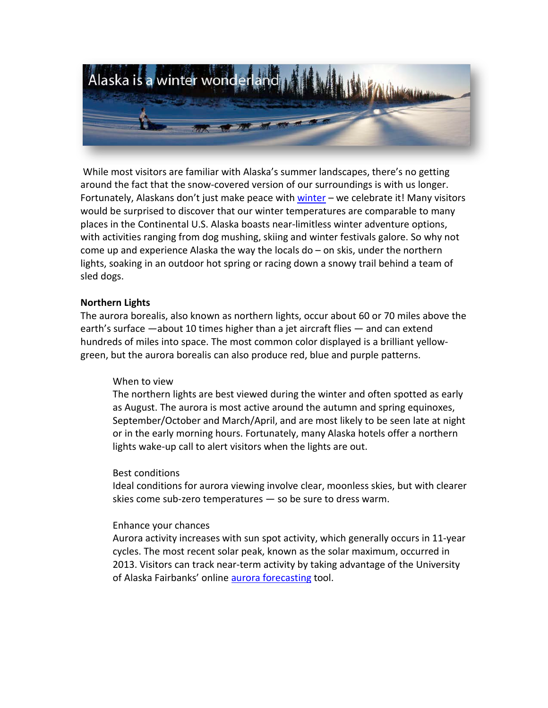

While most visitors are familiar with Alaska's summer landscapes, there's no getting around the fact that the snow-covered version of our surroundings is with us longer. Fortunately, Alaskans don't just make peace with [winter](http://www.travelalaska.com/Things%20To%20Do/Winter%20Activities.aspx) – we celebrate it! Many visitors would be surprised to discover that our winter temperatures are comparable to many places in the Continental U.S. Alaska boasts near-limitless winter adventure options, with activities ranging from dog mushing, skiing and winter festivals galore. So why not come up and experience Alaska the way the locals  $do - on$  skis, under the northern lights, soaking in an outdoor hot spring or racing down a snowy trail behind a team of sled dogs.

## **Northern Lights**

The aurora borealis, also known as northern lights, occur about 60 or 70 miles above the earth's surface —about 10 times higher than a jet aircraft flies — and can extend hundreds of miles into space. The most common color displayed is a brilliant yellowgreen, but the aurora borealis can also produce red, blue and purple patterns.

## When to view

The northern lights are best viewed during the winter and often spotted as early as August. The aurora is most active around the autumn and spring equinoxes, September/October and March/April, and are most likely to be seen late at night or in the early morning hours. Fortunately, many Alaska hotels offer a northern lights wake-up call to alert visitors when the lights are out.

## Best conditions

Ideal conditions for aurora viewing involve clear, moonless skies, but with clearer skies come sub-zero temperatures — so be sure to dress warm.

## Enhance your chances

Aurora activity increases with sun spot activity, which generally occurs in 11-year cycles. The most recent solar peak, known as the solar maximum, occurred in 2013. Visitors can track near-term activity by taking advantage of the University of Alaska Fairbanks' online aurora [forecasting](http://www.gedds.alaska.edu/auroraforecast) tool.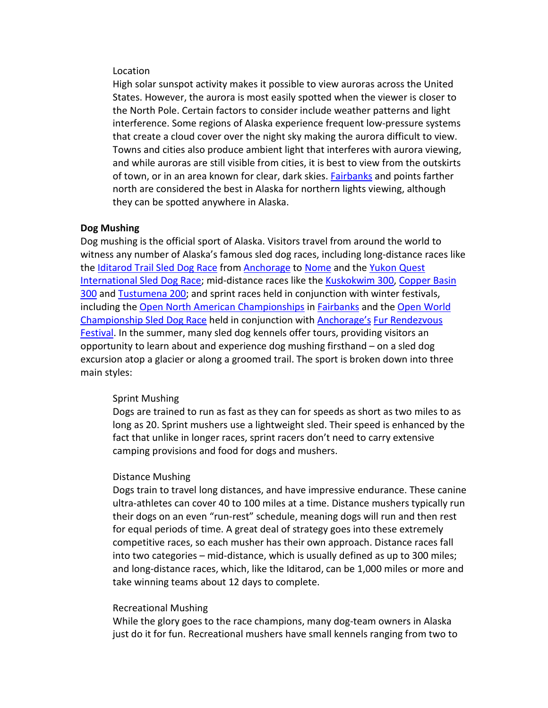## Location

High solar sunspot activity makes it possible to view auroras across the United States. However, the aurora is most easily spotted when the viewer is closer to the North Pole. Certain factors to consider include weather patterns and light interference. Some regions of Alaska experience frequent low-pressure systems that create a cloud cover over the night sky making the aurora difficult to view. Towns and cities also produce ambient light that interferes with aurora viewing, and while auroras are still visible from cities, it is best to view from the outskirts of town, or in an area known for clear, dark skies. [Fairbanks](http://www.explorefairbanks.com/) and points farther north are considered the best in Alaska for northern lights viewing, although they can be spotted anywhere in Alaska.

## **Dog Mushing**

Dog mushing is the official sport of Alaska. Visitors travel from around the world to witness any number of Alaska's famous sled dog races, including long-distance races like the [Iditarod Trail Sled Dog Race](http://www.iditarod.com/) from [Anchorage](http://www.anchorage.net/) to [Nome](http://www.visitnomealaska.com/) and the Yukon Quest [International Sled Dog Race;](http://www.yukonquest.com/) mid-distance races like th[e Kuskokwim 300,](http://www.k300.org/core/) [Copper Basin](http://www.cb300.com/)  [300](http://www.cb300.com/) and [Tustumena 200;](http://www.tustumena200.com/) and sprint races held in conjunction with winter festivals, including the [Open North American Championships](http://www.sleddog.org/races/onac/) i[n Fairbanks](http://www.explorefairbanks.com/) and the [Open World](http://www.asdra.org/furrondy.html)  [Championship](http://www.asdra.org/furrondy.html) Sled Dog Race held in conjunction with [Anchorage's](http://www.anchorage.net/) [Fur Rendezvous](http://www.furrondy.net/)  [Festival.](http://www.furrondy.net/) In the summer, many sled dog kennels offer tours, providing visitors an opportunity to learn about and experience dog mushing firsthand – on a sled dog excursion atop a glacier or along a groomed trail. The sport is broken down into three main styles:

#### Sprint Mushing

Dogs are trained to run as fast as they can for speeds as short as two miles to as long as 20. Sprint mushers use a lightweight sled. Their speed is enhanced by the fact that unlike in longer races, sprint racers don't need to carry extensive camping provisions and food for dogs and mushers.

### Distance Mushing

Dogs train to travel long distances, and have impressive endurance. These canine ultra-athletes can cover 40 to 100 miles at a time. Distance mushers typically run their dogs on an even "run-rest" schedule, meaning dogs will run and then rest for equal periods of time. A great deal of strategy goes into these extremely competitive races, so each musher has their own approach. Distance races fall into two categories – mid-distance, which is usually defined as up to 300 miles; and long-distance races, which, like the Iditarod, can be 1,000 miles or more and take winning teams about 12 days to complete.

#### Recreational Mushing

While the glory goes to the race champions, many dog-team owners in Alaska just do it for fun. Recreational mushers have small kennels ranging from two to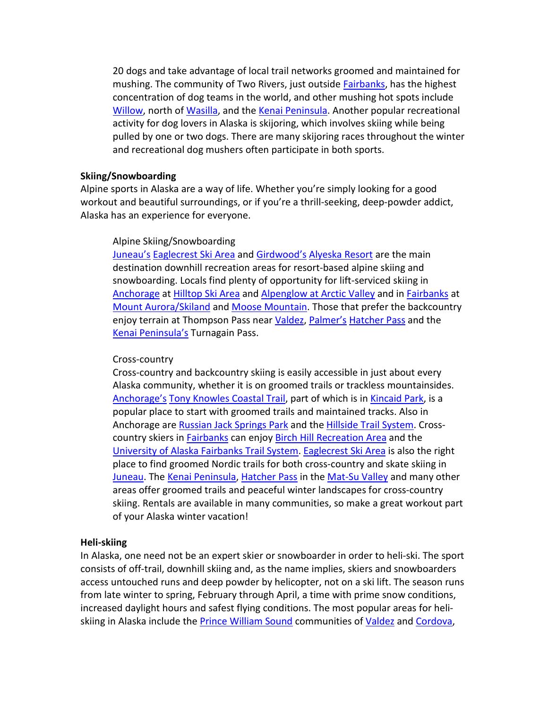20 dogs and take advantage of local trail networks groomed and maintained for mushing. The community of Two Rivers, just outside [Fairbanks,](http://www.explorefairbanks.com/) has the highest concentration of dog teams in the world, and other mushing hot spots include [Willow,](http://www.travelalaska.com/Destinations/Communities/Willow.aspx) north of [Wasilla,](http://www.alaskavisit.com/) and the [Kenai Peninsula.](http://www.kenaipeninsula.org/) Another popular recreational activity for dog lovers in Alaska is skijoring, which involves skiing while being pulled by one or two dogs. There are many skijoring races throughout the winter and recreational dog mushers often participate in both sports.

## **Skiing/Snowboarding**

Alpine sports in Alaska are a way of life. Whether you're simply looking for a good workout and beautiful surroundings, or if you're a thrill-seeking, deep-powder addict, Alaska has an experience for everyone.

# Alpine Skiing/Snowboarding

[Juneau's](http://www.traveljuneau.com/) [Eaglecrest Ski Area](http://www.skijuneau.com/) and [Girdwood's](http://www.anchorage.net/articles/girdwood) [Alyeska Resort](http://www.alyeskaresort.com/) are the main destination downhill recreation areas for resort-based alpine skiing and snowboarding. Locals find plenty of opportunity for lift-serviced skiing in [Anchorage](http://www.anchorage.net/) a[t Hilltop Ski Area](http://www.hilltopskiarea.org/) and [Alpenglow at Arctic Valley](http://www.skiarctic.net/) and in [Fairbanks](http://www.explorefairbanks.com/) at [Mount Aurora/Skiland](http://www.skiland.org/) and [Moose Mountain.](http://www.shredthemoose.com/) Those that prefer the backcountry enjoy terrain at Thompson Pass near [Valdez,](http://www.valdezalaska.org/) [Palmer's](http://www.alaskavisit.com/) [Hatcher Pass](http://www.travelalaska.com/Destinations/Communities/Hatcher%20Pass.aspx) and the [Kenai Peninsula's](http://www.kenaipeninsula.org/) Turnagain Pass.

## Cross-country

Cross-country and backcountry skiing is easily accessible in just about every Alaska community, whether it is on groomed trails or trackless mountainsides. [Anchorage's](http://www.anchorage.net/) [Tony Knowles Coastal Trail,](http://dnr.alaska.gov/parks/aktrails/ats/anc/knowlsct.htm) part of which is in [Kincaid Park,](http://www.anchorage.net/651.cfm) is a popular place to start with groomed trails and maintained tracks. Also in Anchorage are [Russian Jack Springs Park](http://www.anchorageparkfoundation.org/directory/russianjack.htm) and the [Hillside Trail System.](http://dnr.alaska.gov/parks/maps/anchoragehillsidetrailguide.pdf) Crosscountry skiers in [Fairbanks](http://www.explorefairbanks.com/) can enjoy [Birch Hill Recreation Area](http://co.fairbanks.ak.us/ParksandRecreation/Facilities/BH/) and the [University of Alaska Fairbanks Trail System.](http://facilities.alaska.edu/uaf/ncampus/nctrails.cfm) [Eaglecrest Ski Area](http://www.skijuneau.com/) is also the right place to find groomed Nordic trails for both cross-country and skate skiing in [Juneau.](http://www.traveljuneau.com/) The [Kenai Peninsula,](http://www.kenaipeninsula.org/) [Hatcher Pass](http://www.travelalaska.com/Destinations/Communities/Hatcher%20Pass.aspx) in the [Mat-Su Valley](http://www.alaskavisit.com/) and many other areas offer groomed trails and peaceful winter landscapes for cross-country skiing. Rentals are available in many communities, so make a great workout part of your Alaska winter vacation!

## **Heli-skiing**

In Alaska, one need not be an expert skier or snowboarder in order to heli-ski. The sport consists of off-trail, downhill skiing and, as the name implies, skiers and snowboarders access untouched runs and deep powder by helicopter, not on a ski lift. The season runs from late winter to spring, February through April, a time with prime snow conditions, increased daylight hours and safest flying conditions. The most popular areas for heliskiing in Alaska include the [Prince William Sound](http://www.travelalaska.com/Destinations/Regions/Southcentral/Prince%20William%20Sound.aspx) communities of [Valdez](http://www.valdezalaska.org/) an[d Cordova,](http://www.cordovachamber.com/)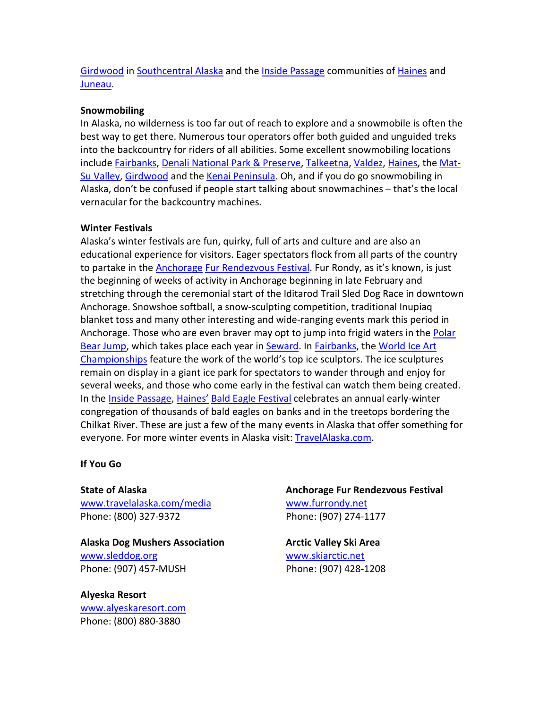[Girdwood](http://www.anchorage.net/articles/girdwood) in [Southcentral Alaska](http://www.travelalaska.com/Destinations/Regions/Southcentral.aspx) and the [Inside Passage](http://www.travelalaska.com/Destinations/Regions/Inside%20Passage.aspx) communities of [Haines](http://www.haines.ak.us/) and [Juneau.](http://www.traveljuneau.com/)

# **Snowmobiling**

In Alaska, no wilderness is too far out of reach to explore and a snowmobile is often the best way to get there. Numerous tour operators offer both guided and unguided treks into the backcountry for riders of all abilities. Some excellent snowmobiling locations include [Fairbanks,](http://www.explorefairbanks.com/) [Denali National Park & Preserve,](http://www.nps.gov/dena/index.htm) [Talkeetna,](http://www.talkeetnachamber.org/) [Valdez,](http://www.valdezalaska.org/) [Haines,](http://www.haines.ak.us/) the [Mat-](http://www.alaskavisit.com/)[Su Valley,](http://www.alaskavisit.com/) [Girdwood](http://www.anchorage.net/articles/girdwood) and the [Kenai Peninsula.](http://www.kenaipeninsula.org/) Oh, and if you do go snowmobiling in Alaska, don't be confused if people start talking about snowmachines – that's the local vernacular for the backcountry machines.

## **Winter Festivals**

Alaska's winter festivals are fun, quirky, full of arts and culture and are also an educational experience for visitors. Eager spectators flock from all parts of the country to partake in the [Anchorage](http://www.anchorage.net/) [Fur Rendezvous Festival.](http://www.furrondy.net/) Fur Rondy, as it's known, is just the beginning of weeks of activity in Anchorage beginning in late February and stretching through the ceremonial start of the Iditarod Trail Sled Dog Race in downtown Anchorage. Snowshoe softball, a snow-sculpting competition, traditional Inupiaq blanket toss and many other interesting and wide-ranging events mark this period in Anchorage. Those who are even braver may opt to jump into frigid waters in the Polar [Bear Jump,](http://www.seward.com/welcome-to-seward-alaska/signature-events/polar-bear-jump-january/) which takes place each year in [Seward.](http://www.seward.com/) In [Fairbanks,](http://www.explorefairbanks.com/) the [World Ice Art](http://www.icealaska.com/)  [Championships](http://www.icealaska.com/) feature the work of the world's top ice sculptors. The ice sculptures remain on display in a giant ice park for spectators to wander through and enjoy for several weeks, and those who come early in the festival can watch them being created. In the [Inside Passage,](http://www.travelalaska.com/Destinations/Regions/Inside%20Passage.aspx) [Haines'](http://www.haines.ak.us/) [Bald Eagle Festival](http://baldeaglefestival.org/) celebrates an annual early-winter congregation of thousands of bald eagles on banks and in the treetops bordering the Chilkat River. These are just a few of the many events in Alaska that offer something for everyone. For more winter events in Alaska visit: [TravelAlaska.com.](http://www.travelalaska.com/Experience%20Alaska/Events.aspx)

# **If You Go**

**State of Alaska**  [www.travelalaska.com/media](http://www.travelalaska.com/media) Phone: (800) 327-9372

**Alaska Dog Mushers Association** [www.sleddog.org](http://www.sleddog.org/) Phone: (907) 457-MUSH

**Alyeska Resort** [www.alyeskaresort.com](http://www.alyeskaresort.com/) Phone: (800) 880-3880

**Anchorage Fur Rendezvous Festival** [www.furrondy.net](http://www.furrondy.net/) Phone: (907) 274-1177

**Arctic Valley Ski Area** [www.skiarctic.net](http://www.skiarctic.net/) Phone: (907) 428-1208